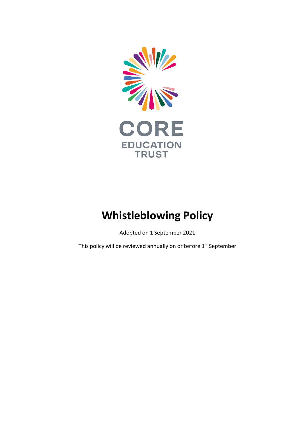

## **Whistleblowing Policy**

Adopted on 1 September 2021

This policy will be reviewed annually on or before 1<sup>st</sup> September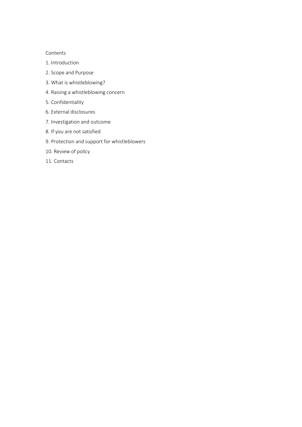## Contents

- 1. Introduction
- 2. Scope and Purpose
- 3. What is whistleblowing?
- 4. Raising a whistleblowing concern
- 5. Confidentiality
- 6. External disclosures
- 7. Investigation and outcome
- 8. If you are not satisfied
- 9. Protection and support for whistleblowers
- 10. Review of policy
- 11. Contacts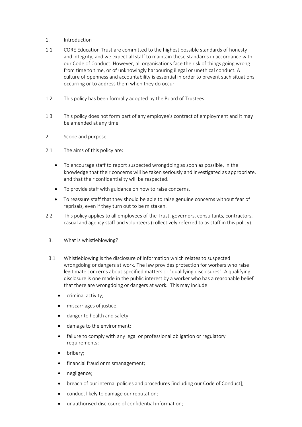- 1. Introduction
- 1.1 CORE Education Trust are committed to the highest possible standards of honesty and integrity, and we expect all staff to maintain these standards in accordance with our Code of Conduct. However, all organisations face the risk of things going wrong from time to time, or of unknowingly harbouring illegal or unethical conduct. A culture of openness and accountability is essential in order to prevent such situations occurring or to address them when they do occur.
- 1.2 This policy has been formally adopted by the Board of Trustees.
- 1.3 This policy does not form part of any employee's contract of employment and it may be amended at any time.
- 2. Scope and purpose
- 2.1 The aims of this policy are:
	- To encourage staff to report suspected wrongdoing as soon as possible, in the knowledge that their concerns will be taken seriously and investigated as appropriate, and that their confidentiality will be respected.
	- To provide staff with guidance on how to raise concerns.
	- To reassure staff that they should be able to raise genuine concerns without fear of reprisals, even if they turn out to be mistaken.
- 2.2 This policy applies to all employees of the Trust, governors, consultants, contractors, casual and agency staff and volunteers (collectively referred to as staff in this policy).
	- 3. What is whistleblowing?
	- 3.1 Whistleblowing is the disclosure of information which relates to suspected wrongdoing or dangers at work. The law provides protection for workers who raise legitimate concerns about specified matters or "qualifying disclosures". A qualifying disclosure is one made in the public interest by a worker who has a reasonable belief that there are wrongdoing or dangers at work. This may include:
		- criminal activity;
		- miscarriages of justice;
		- danger to health and safety;
		- damage to the environment;
		- failure to comply with any legal or professional obligation or regulatory requirements;
		- bribery;
		- financial fraud or mismanagement;
		- negligence;
		- breach of our internal policies and procedures [including our Code of Conduct];
		- conduct likely to damage our reputation;
		- unauthorised disclosure of confidential information;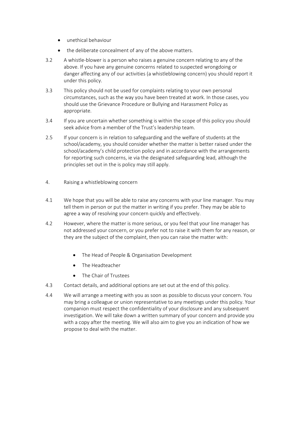- unethical behaviour
- the deliberate concealment of any of the above matters.
- 3.2 A whistle-blower is a person who raises a genuine concern relating to any of the above. If you have any genuine concerns related to suspected wrongdoing or danger affecting any of our activities (a whistleblowing concern) you should report it under this policy.
- 3.3 This policy should not be used for complaints relating to your own personal circumstances, such as the way you have been treated at work. In those cases, you should use the Grievance Procedure or Bullying and Harassment Policy as appropriate.
- 3.4 If you are uncertain whether something is within the scope of this policy you should seek advice from a member of the Trust's leadership team.
- 2.5 If your concern is in relation to safeguarding and the welfare of students at the school/academy, you should consider whether the matter is better raised under the school/academy's child protection policy and in accordance with the arrangements for reporting such concerns, ie via the designated safeguarding lead, although the principles set out in the is policy may still apply.
- 4. Raising a whistleblowing concern
- 4.1 We hope that you will be able to raise any concerns with your line manager. You may tell them in person or put the matter in writing if you prefer. They may be able to agree a way of resolving your concern quickly and effectively.
- 4.2 However, where the matter is more serious, or you feel that your line manager has not addressed your concern, or you prefer not to raise it with them for any reason, or they are the subject of the complaint, then you can raise the matter with:
	- The Head of People & Organisation Development
	- The Headteacher
	- The Chair of Trustees
- 4.3 Contact details, and additional options are set out at the end of this policy.
- 4.4 We will arrange a meeting with you as soon as possible to discuss your concern. You may bring a colleague or union representative to any meetings under this policy. Your companion must respect the confidentiality of your disclosure and any subsequent investigation. We will take down a written summary of your concern and provide you with a copy after the meeting. We will also aim to give you an indication of how we propose to deal with the matter.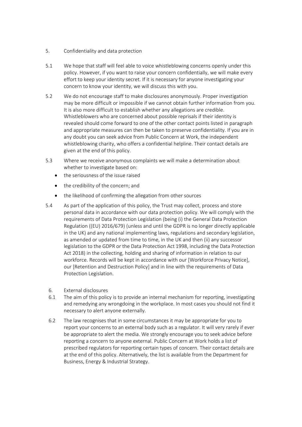- 5. Confidentiality and data protection
- 5.1 We hope that staff will feel able to voice whistleblowing concerns openly under this policy. However, if you want to raise your concern confidentially, we will make every effort to keep your identity secret. If it is necessary for anyone investigating your concern to know your identity, we will discuss this with you.
- 5.2 We do not encourage staff to make disclosures anonymously. Proper investigation may be more difficult or impossible if we cannot obtain further information from you. It is also more difficult to establish whether any allegations are credible. Whistleblowers who are concerned about possible reprisals if their identity is revealed should come forward to one of the other contact points listed in paragraph and appropriate measures can then be taken to preserve confidentiality. If you are in any doubt you can seek advice from Public Concern at Work, the independent whistleblowing charity, who offers a confidential helpline. Their contact details are given at the end of this policy.
- 5.3 Where we receive anonymous complaints we will make a determination about whether to investigate based on:
	- the seriousness of the issue raised
	- the credibility of the concern; and
	- the likelihood of confirming the allegation from other sources
- 5.4 As part of the application of this policy, the Trust may collect, process and store personal data in accordance with our data protection policy. We will comply with the requirements of Data Protection Legislation (being (i) the General Data Protection Regulation ((EU) 2016/679) (unless and until the GDPR is no longer directly applicable in the UK) and any national implementing laws, regulations and secondary legislation, as amended or updated from time to time, in the UK and then (ii) any successor legislation to the GDPR or the Data Protection Act 1998, including the Data Protection Act 2018) in the collecting, holding and sharing of information in relation to our workforce. Records will be kept in accordance with our [Workforce Privacy Notice], our [Retention and Destruction Policy] and in line with the requirements of Data Protection Legislation.
	- 6. External disclosures
	- 6.1 The aim of this policy is to provide an internal mechanism for reporting, investigating and remedying any wrongdoing in the workplace. In most cases you should not find it necessary to alert anyone externally.
	- 6.2 The law recognises that in some circumstances it may be appropriate for you to report your concerns to an external body such as a regulator. It will very rarely if ever be appropriate to alert the media. We strongly encourage you to seek advice before reporting a concern to anyone external. Public Concern at Work holds a list of prescribed regulators for reporting certain types of concern. Their contact details are at the end of this policy. Alternatively, the list is available from the Department for Business, Energy & Industrial Strategy.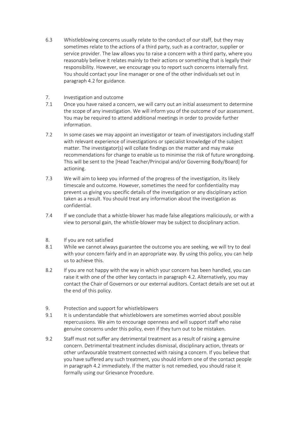- 6.3 Whistleblowing concerns usually relate to the conduct of our staff, but they may sometimes relate to the actions of a third party, such as a contractor, supplier or service provider. The law allows you to raise a concern with a third party, where you reasonably believe it relates mainly to their actions or something that is legally their responsibility. However, we encourage you to report such concerns internally first. You should contact your line manager or one of the other individuals set out in paragraph 4.2 for guidance.
- 7. Investigation and outcome
- 7.1 Once you have raised a concern, we will carry out an initial assessment to determine the scope of any investigation. We will inform you of the outcome of our assessment. You may be required to attend additional meetings in order to provide further information.
- 7.2 In some cases we may appoint an investigator or team of investigators including staff with relevant experience of investigations or specialist knowledge of the subject matter. The investigator(s) will collate findings on the matter and may make recommendations for change to enable us to minimise the risk of future wrongdoing. This will be sent to the [Head Teacher/Principal and/or Governing Body/Board] for actioning.
- 7.3 We will aim to keep you informed of the progress of the investigation, its likely timescale and outcome. However, sometimes the need for confidentiality may prevent us giving you specific details of the investigation or any disciplinary action taken as a result. You should treat any information about the investigation as confidential.
- 7.4 If we conclude that a whistle-blower has made false allegations maliciously, or with a view to personal gain, the whistle-blower may be subject to disciplinary action.
- 8. If you are not satisfied
- 8.1 While we cannot always guarantee the outcome you are seeking, we will try to deal with your concern fairly and in an appropriate way. By using this policy, you can help us to achieve this.
- 8.2 If you are not happy with the way in which your concern has been handled, you can raise it with one of the other key contacts in paragraph 4.2. Alternatively, you may contact the Chair of Governors or our external auditors. Contact details are set out at the end of this policy.
- 9. Protection and support for whistleblowers
- 9.1 It is understandable that whistleblowers are sometimes worried about possible repercussions. We aim to encourage openness and will support staff who raise genuine concerns under this policy, even if they turn out to be mistaken.
- 9.2 Staff must not suffer any detrimental treatment as a result of raising a genuine concern. Detrimental treatment includes dismissal, disciplinary action, threats or other unfavourable treatment connected with raising a concern. If you believe that you have suffered any such treatment, you should inform one of the contact people in paragraph 4.2 immediately. If the matter is not remedied, you should raise it formally using our Grievance Procedure.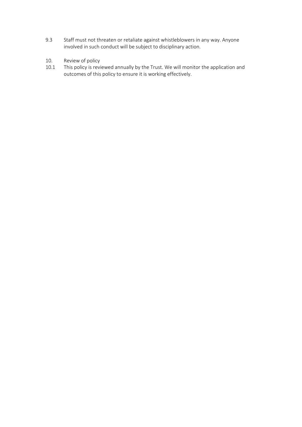- 9.3 Staff must not threaten or retaliate against whistleblowers in any way. Anyone involved in such conduct will be subject to disciplinary action.
- 10. Review of policy
- 10.1 This policy is reviewed annually by the Trust. We will monitor the application and outcomes of this policy to ensure it is working effectively.